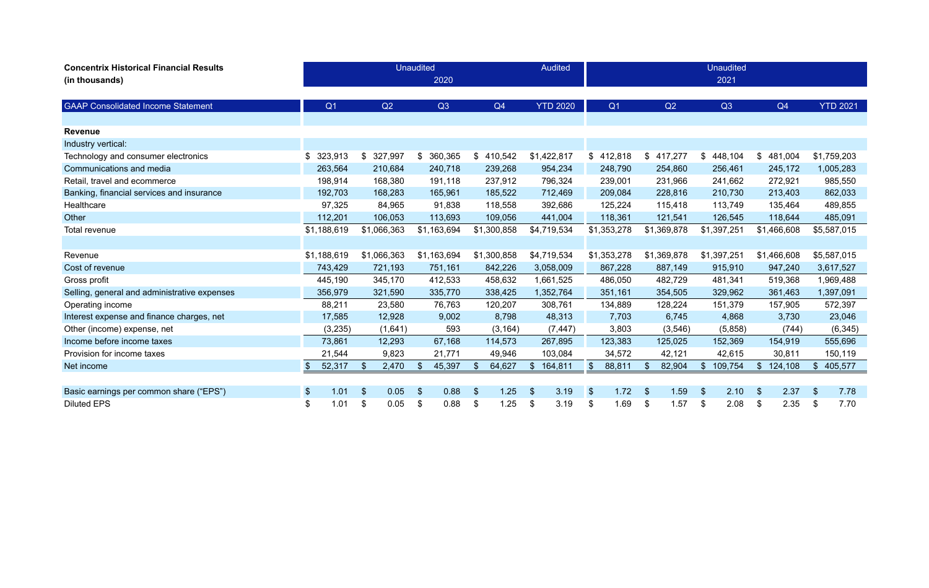| <b>Concentrix Historical Financial Results</b><br>(in thousands) |                       |                       | <b>Unaudited</b> | 2020        |               |             |     | <b>Audited</b>  |                           |                |               |             |               | <b>Unaudited</b><br>2021 |                |             |     |                 |
|------------------------------------------------------------------|-----------------------|-----------------------|------------------|-------------|---------------|-------------|-----|-----------------|---------------------------|----------------|---------------|-------------|---------------|--------------------------|----------------|-------------|-----|-----------------|
|                                                                  |                       |                       |                  |             |               |             |     |                 |                           |                |               |             |               |                          |                |             |     |                 |
| <b>GAAP Consolidated Income Statement</b>                        | Q <sub>1</sub>        | Q2                    |                  | Q3          |               | Q4          |     | <b>YTD 2020</b> |                           | Q <sub>1</sub> |               | Q2          |               | Q3                       |                | Q4          |     | <b>YTD 2021</b> |
|                                                                  |                       |                       |                  |             |               |             |     |                 |                           |                |               |             |               |                          |                |             |     |                 |
| <b>Revenue</b>                                                   |                       |                       |                  |             |               |             |     |                 |                           |                |               |             |               |                          |                |             |     |                 |
| Industry vertical:                                               |                       |                       |                  |             |               |             |     |                 |                           |                |               |             |               |                          |                |             |     |                 |
| Technology and consumer electronics                              | \$<br>323,913         | 327,997<br>\$         | \$               | 360,365     | \$            | 410,542     |     | \$1,422,817     |                           | \$412,818      | $\$\$         | 417,277     | \$            | 448,104                  | \$             | 481,004     |     | \$1,759,203     |
| Communications and media                                         | 263,564               | 210,684               |                  | 240,718     |               | 239,268     |     | 954,234         |                           | 248,790        |               | 254,860     |               | 256,461                  |                | 245,172     |     | 1,005,283       |
| Retail, travel and ecommerce                                     | 198,914               | 168,380               |                  | 191,118     |               | 237,912     |     | 796,324         |                           | 239,001        |               | 231,966     |               | 241,662                  |                | 272,921     |     | 985,550         |
| Banking, financial services and insurance                        | 192,703               | 168,283               |                  | 165,961     |               | 185,522     |     | 712,469         |                           | 209,084        |               | 228,816     |               | 210,730                  |                | 213,403     |     | 862,033         |
| Healthcare                                                       | 97,325                | 84,965                |                  | 91,838      |               | 118,558     |     | 392,686         |                           | 125,224        |               | 115,418     |               | 113,749                  |                | 135,464     |     | 489,855         |
| Other                                                            | 112,201               | 106,053               |                  | 113,693     |               | 109,056     |     | 441,004         |                           | 118,361        |               | 121,541     |               | 126,545                  |                | 118,644     |     | 485,091         |
| Total revenue                                                    | \$1,188,619           | \$1,066,363           |                  | \$1,163,694 |               | \$1,300,858 |     | \$4,719,534     |                           | \$1,353,278    |               | \$1,369,878 |               | \$1,397,251              |                | \$1,466,608 |     | \$5,587,015     |
|                                                                  |                       |                       |                  |             |               |             |     |                 |                           |                |               |             |               |                          |                |             |     |                 |
| Revenue                                                          | \$1,188,619           | \$1,066,363           |                  | \$1,163,694 |               | \$1,300,858 |     | \$4,719,534     |                           | \$1,353,278    |               | \$1,369,878 |               | \$1,397,251              |                | \$1,466,608 |     | \$5,587,015     |
| Cost of revenue                                                  | 743,429               | 721,193               |                  | 751,161     |               | 842,226     |     | 3,058,009       |                           | 867,228        |               | 887,149     |               | 915,910                  |                | 947,240     |     | 3,617,527       |
| Gross profit                                                     | 445,190               | 345,170               |                  | 412,533     |               | 458,632     |     | 1,661,525       |                           | 486,050        |               | 482,729     |               | 481,341                  |                | 519,368     |     | 1,969,488       |
| Selling, general and administrative expenses                     | 356,979               | 321,590               |                  | 335,770     |               | 338,425     |     | 1,352,764       |                           | 351,161        |               | 354,505     |               | 329,962                  |                | 361,463     |     | 1,397,091       |
| Operating income                                                 | 88,211                | 23,580                |                  | 76,763      |               | 120,207     |     | 308,761         |                           | 134,889        |               | 128,224     |               | 151,379                  |                | 157,905     |     | 572,397         |
| Interest expense and finance charges, net                        | 17,585                | 12,928                |                  | 9,002       |               | 8,798       |     | 48,313          |                           | 7,703          |               | 6,745       |               | 4,868                    |                | 3,730       |     | 23,046          |
| Other (income) expense, net                                      | (3, 235)              | (1,641)               |                  | 593         |               | (3, 164)    |     | (7, 447)        |                           | 3,803          |               | (3, 546)    |               | (5,858)                  |                | (744)       |     | (6, 345)        |
| Income before income taxes                                       | 73,861                | 12,293                |                  | 67,168      |               | 114,573     |     | 267,895         |                           | 123,383        |               | 125,025     |               | 152,369                  |                | 154,919     |     | 555,696         |
| Provision for income taxes                                       | 21,544                | 9,823                 |                  | 21,771      |               | 49,946      |     | 103,084         |                           | 34,572         |               | 42,121      |               | 42,615                   |                | 30,811      |     | 150,119         |
| Net income                                                       | 52,317<br>\$          | $\mathbb{S}$<br>2,470 | $\frac{1}{2}$    | 45,397      | $\sqrt[6]{3}$ | 64,627      | \$  | 164,811         | $\sqrt[6]{3}$             | 88,811         | $\mathcal{S}$ | 82,904      | $\mathcal{S}$ | 109,754                  | $\mathfrak{S}$ | 124,108     | \$. | 405,577         |
|                                                                  |                       |                       |                  |             |               |             |     |                 |                           |                |               |             |               |                          |                |             |     |                 |
| Basic earnings per common share ("EPS")                          | 1.01<br><sup>\$</sup> | \$<br>0.05            | $\mathfrak{S}$   | 0.88        | -\$           | 1.25        | -\$ | 3.19            | $\boldsymbol{\mathsf{S}}$ | 1.72           | \$            | 1.59        | -\$           | 2.10                     | \$             | 2.37        | -S  | 7.78            |
| <b>Diluted EPS</b>                                               | 1.01                  | \$<br>0.05            | \$               | 0.88        | \$            | 1.25        | \$  | 3.19            | \$                        | 1.69           | \$            | 1.57        | \$            | 2.08                     | \$             | 2.35        | \$  | 7.70            |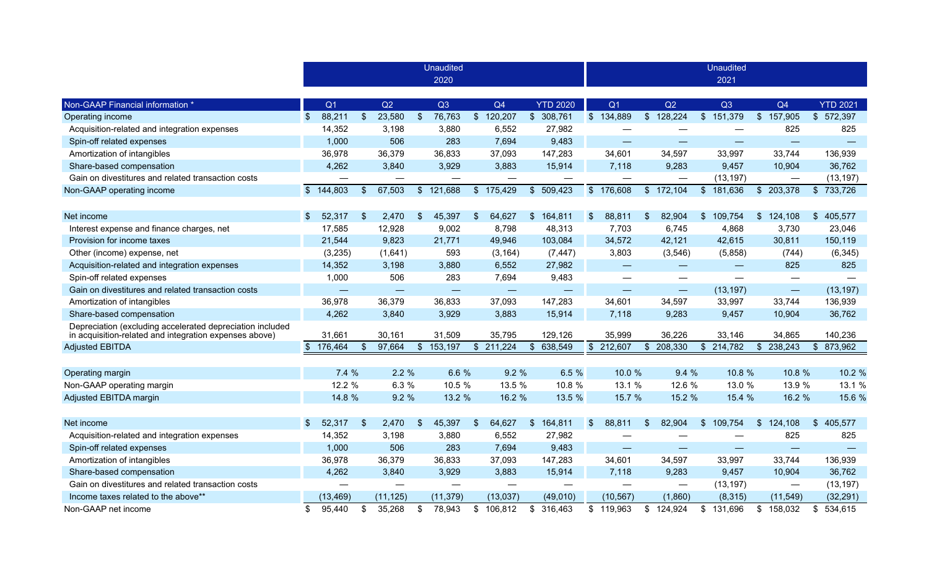|                                                                                                                     |                |                   |                |                          |                         | <b>Unaudited</b> |                |                          |                |                          |                |                          |               |                   |                         | <b>Unaudited</b> |                |                   |                |                 |
|---------------------------------------------------------------------------------------------------------------------|----------------|-------------------|----------------|--------------------------|-------------------------|------------------|----------------|--------------------------|----------------|--------------------------|----------------|--------------------------|---------------|-------------------|-------------------------|------------------|----------------|-------------------|----------------|-----------------|
|                                                                                                                     |                |                   |                |                          |                         | 2020             |                |                          |                |                          |                |                          |               |                   |                         | 2021             |                |                   |                |                 |
|                                                                                                                     |                |                   |                |                          |                         |                  |                |                          |                |                          |                |                          |               |                   |                         |                  |                |                   |                |                 |
| Non-GAAP Financial information *                                                                                    |                | Q <sub>1</sub>    |                | Q2                       |                         | Q3               |                | Q4                       |                | <b>YTD 2020</b>          |                | Q <sub>1</sub>           |               | Q2                |                         | Q3               |                | Q4                |                | <b>YTD 2021</b> |
| Operating income                                                                                                    | $\mathfrak{S}$ | 88,211            | $\mathfrak{S}$ | 23,580                   | $\sqrt[6]{\frac{1}{2}}$ | 76,763           | $\mathcal{L}$  | 120,207                  | $\frac{1}{2}$  | 308,761                  |                | \$134,889                | $\frac{1}{2}$ | 128,224           | $\frac{1}{2}$           | 151,379          | $\mathfrak{S}$ | 157,905           | $\mathbb{S}^-$ | 572,397         |
| Acquisition-related and integration expenses                                                                        |                | 14,352            |                | 3,198                    |                         | 3,880            |                | 6,552                    |                | 27,982                   |                |                          |               |                   |                         |                  |                | 825               |                | 825             |
| Spin-off related expenses                                                                                           |                | 1,000             |                | 506                      |                         | 283              |                | 7,694                    |                | 9,483                    |                | —                        |               |                   |                         |                  |                |                   |                |                 |
| Amortization of intangibles                                                                                         |                | 36,978            |                | 36,379                   |                         | 36,833           |                | 37,093                   |                | 147,283                  |                | 34,601                   |               | 34,597            |                         | 33,997           |                | 33,744            |                | 136,939         |
| Share-based compensation                                                                                            |                | 4,262             |                | 3,840                    |                         | 3,929            |                | 3,883                    |                | 15,914                   |                | 7,118                    |               | 9,283             |                         | 9,457            |                | 10,904            |                | 36,762          |
| Gain on divestitures and related transaction costs                                                                  |                |                   |                |                          |                         |                  |                |                          |                |                          |                |                          |               |                   |                         | (13, 197)        |                |                   |                | (13, 197)       |
| Non-GAAP operating income                                                                                           |                | \$144,803         | $\mathfrak{S}$ | 67,503                   | $\sqrt[6]{\frac{1}{2}}$ | 121,688          |                | \$175,429                | $\mathcal{S}$  | 509,423                  |                | \$176,608                |               | \$172,104         | $\sqrt[6]{3}$           | 181,636          |                | \$203,378         | $\mathcal{S}$  | 733,726         |
|                                                                                                                     |                |                   |                |                          |                         |                  |                |                          |                |                          |                |                          |               |                   |                         |                  |                |                   |                |                 |
| Net income                                                                                                          |                | 52,317            | \$             | 2,470                    | $\mathfrak{F}$          | 45,397           | $\mathfrak{F}$ | 64,627                   | \$             | 164,811                  | $\mathfrak{S}$ | 88,811<br>\$             |               | 82,904            | $\mathfrak{F}$          | 109,754          | $\mathcal{S}$  | 124,108           | $\mathbb{S}^-$ | 405,577         |
| Interest expense and finance charges, net                                                                           |                | 17,585            |                | 12,928                   |                         | 9,002            |                | 8,798                    |                | 48,313                   |                | 7,703                    |               | 6,745             |                         | 4,868            |                | 3,730             |                | 23,046          |
| Provision for income taxes                                                                                          |                | 21,544            |                | 9,823                    |                         | 21,771           |                | 49,946                   |                | 103,084                  |                | 34,572                   |               | 42,121            |                         | 42,615           |                | 30,811            |                | 150,119         |
| Other (income) expense, net                                                                                         |                | (3,235)           |                | (1,641)                  |                         | 593              |                | (3, 164)                 |                | (7, 447)                 |                | 3,803                    |               | (3,546)           |                         | (5,858)          |                | (744)             |                | (6, 345)        |
| Acquisition-related and integration expenses                                                                        |                | 14,352            |                | 3,198                    |                         | 3,880            |                | 6,552                    |                | 27,982                   |                | $\hspace{0.05cm}$        |               | $\hspace{0.05cm}$ |                         |                  |                | 825               |                | 825             |
| Spin-off related expenses                                                                                           |                | 1,000             |                | 506                      |                         | 283              |                | 7,694                    |                | 9,483                    |                |                          |               |                   |                         |                  |                |                   |                |                 |
| Gain on divestitures and related transaction costs                                                                  |                | $\hspace{0.05cm}$ |                | $\overline{\phantom{m}}$ |                         |                  |                | $\overline{\phantom{m}}$ |                | $\overline{\phantom{0}}$ |                | $\overline{\phantom{0}}$ |               | $\hspace{0.05cm}$ |                         | (13, 197)        |                | $\hspace{0.05cm}$ |                | (13, 197)       |
| Amortization of intangibles                                                                                         |                | 36,978            |                | 36,379                   |                         | 36,833           |                | 37,093                   |                | 147,283                  |                | 34,601                   |               | 34,597            |                         | 33,997           |                | 33,744            |                | 136,939         |
| Share-based compensation                                                                                            |                | 4,262             |                | 3,840                    |                         | 3,929            |                | 3,883                    |                | 15,914                   |                | 7,118                    |               | 9,283             |                         | 9,457            |                | 10,904            |                | 36,762          |
| Depreciation (excluding accelerated depreciation included<br>in acquisition-related and integration expenses above) |                | 31,661            |                | 30,161                   |                         | 31,509           |                | 35,795                   |                | 129,126                  |                | 35,999                   |               | 36,226            |                         | 33,146           |                | 34,865            |                | 140,236         |
| <b>Adjusted EBITDA</b>                                                                                              | \$             | 176,464           | \$             | 97,664                   |                         | \$153,197        |                | \$211,224                | $\$\$          | 638,549                  |                | \$212,607                |               | \$ 208,330        | $\sqrt[6]{\frac{1}{2}}$ | 214,782          | $\frac{1}{2}$  | 238,243           | $\mathcal{L}$  | 873,962         |
|                                                                                                                     |                |                   |                |                          |                         |                  |                |                          |                |                          |                |                          |               |                   |                         |                  |                |                   |                |                 |
| Operating margin                                                                                                    |                | 7.4 %             |                | 2.2%                     |                         | 6.6 %            |                | 9.2%                     |                | 6.5 %                    |                | 10.0 %                   |               | 9.4%              |                         | 10.8 %           |                | 10.8 %            |                | 10.2 %          |
| Non-GAAP operating margin                                                                                           |                | 12.2 %            |                | 6.3 %                    |                         | 10.5 %           |                | 13.5 %                   |                | 10.8 %                   |                | 13.1 %                   |               | 12.6 %            |                         | 13.0 %           |                | 13.9 %            |                | 13.1 %          |
| Adjusted EBITDA margin                                                                                              |                | 14.8 %            |                | 9.2%                     |                         | 13.2 %           |                | 16.2 %                   |                | 13.5 %                   |                | 15.7 %                   |               | 15.2 %            |                         | 15.4 %           |                | 16.2 %            |                | 15.6 %          |
|                                                                                                                     |                |                   |                |                          |                         |                  |                |                          |                |                          |                |                          |               |                   |                         |                  |                |                   |                |                 |
| Net income                                                                                                          | <sup>\$</sup>  | 52,317            | $\mathfrak{S}$ | 2,470                    | \$                      | 45,397           | $\mathfrak{S}$ | 64,627                   | \$             | 164,811                  | \$             | 88,811<br>\$             |               | 82,904            | $\mathbb{S}$            | 109,754          | $\mathbb{S}$   | 124,108           | $\mathbb{S}^-$ | 405,577         |
| Acquisition-related and integration expenses                                                                        |                | 14,352            |                | 3,198                    |                         | 3,880            |                | 6,552                    |                | 27,982                   |                |                          |               |                   |                         |                  |                | 825               |                | 825             |
| Spin-off related expenses                                                                                           |                | 1,000             |                | 506                      |                         | 283              |                | 7,694                    |                | 9,483                    |                |                          |               |                   |                         |                  |                |                   |                |                 |
| Amortization of intangibles                                                                                         |                | 36,978            |                | 36,379                   |                         | 36,833           |                | 37,093                   |                | 147,283                  |                | 34,601                   |               | 34,597            |                         | 33,997           |                | 33,744            |                | 136,939         |
| Share-based compensation                                                                                            |                | 4,262             |                | 3,840                    |                         | 3,929            |                | 3,883                    |                | 15,914                   |                | 7,118                    |               | 9,283             |                         | 9,457            |                | 10,904            |                | 36,762          |
| Gain on divestitures and related transaction costs                                                                  |                |                   |                |                          |                         |                  |                |                          |                |                          |                |                          |               |                   |                         | (13, 197)        |                |                   |                | (13, 197)       |
| Income taxes related to the above**                                                                                 |                | (13, 469)         |                | (11, 125)                |                         | (11, 379)        |                | (13,037)                 |                | (49,010)                 |                | (10, 567)                |               | (1,860)           |                         | (8,315)          |                | (11, 549)         |                | (32, 291)       |
| Non-GAAP net income                                                                                                 |                | 95,440            | \$             | 35,268                   | \$                      | 78,943           |                | \$106,812                | $\mathfrak{S}$ | 316,463                  |                | \$119,963                |               | \$124,924         |                         | \$131,696        | \$             | 158,032           | S.             | 534,615         |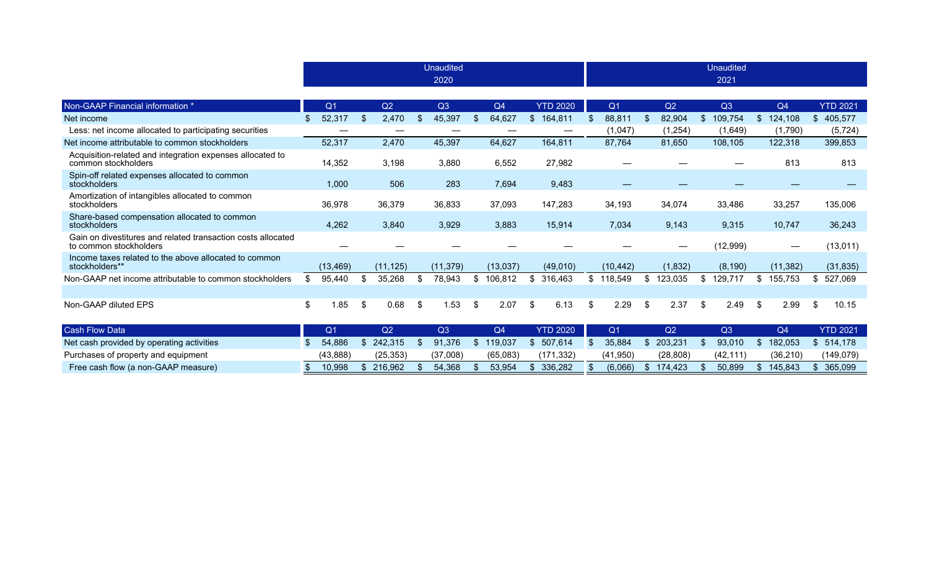|                                                                                        |                |               |                         | <b>Unaudited</b><br>2020 |                |          |     |                 |     |                |              |           |    | <b>Unaudited</b><br>2021 |              |           |     |                 |
|----------------------------------------------------------------------------------------|----------------|---------------|-------------------------|--------------------------|----------------|----------|-----|-----------------|-----|----------------|--------------|-----------|----|--------------------------|--------------|-----------|-----|-----------------|
|                                                                                        |                |               |                         |                          |                |          |     |                 |     |                |              |           |    |                          |              |           |     |                 |
| Non-GAAP Financial information *                                                       | Q <sub>1</sub> | Q2            |                         | Q3                       |                | Q4       |     | <b>YTD 2020</b> |     | Q <sub>1</sub> |              | Q2        |    | Q3                       |              | Q4        |     | <b>YTD 2021</b> |
| Net income                                                                             | 52,317         | \$<br>2,470   | $\sqrt[6]{\frac{1}{2}}$ | 45,397                   | \$             | 64,627   | S.  | 164,811         | -S  | 88,811         | \$           | 82,904    | S  | 109,754                  | $\mathbb{S}$ | 124,108   |     | \$405,577       |
| Less: net income allocated to participating securities                                 |                |               |                         |                          |                |          |     |                 |     | (1,047)        |              | (1, 254)  |    | (1,649)                  |              | (1,790)   |     | (5, 724)        |
| Net income attributable to common stockholders                                         | 52,317         | 2,470         |                         | 45,397                   |                | 64,627   |     | 164,811         |     | 87,764         |              | 81,650    |    | 108,105                  |              | 122,318   |     | 399,853         |
| Acquisition-related and integration expenses allocated to<br>common stockholders       | 14,352         | 3,198         |                         | 3,880                    |                | 6,552    |     | 27,982          |     |                |              |           |    |                          |              | 813       |     | 813             |
| Spin-off related expenses allocated to common<br>stockholders                          | 1,000          | 506           |                         | 283                      |                | 7,694    |     | 9,483           |     |                |              |           |    |                          |              |           |     |                 |
| Amortization of intangibles allocated to common<br>stockholders                        | 36,978         | 36,379        |                         | 36,833                   |                | 37,093   |     | 147,283         |     | 34,193         |              | 34,074    |    | 33,486                   |              | 33,257    |     | 135,006         |
| Share-based compensation allocated to common<br>stockholders                           | 4,262          | 3,840         |                         | 3,929                    |                | 3,883    |     | 15,914          |     | 7,034          |              | 9,143     |    | 9,315                    |              | 10,747    |     | 36,243          |
| Gain on divestitures and related transaction costs allocated<br>to common stockholders |                |               |                         |                          |                |          |     |                 |     |                |              |           |    | (12,999)                 |              |           |     | (13,011)        |
| Income taxes related to the above allocated to common<br>stockholders**                | (13, 469)      | (11, 125)     |                         | (11, 379)                |                | (13,037) |     | (49,010)        |     | (10, 442)      |              | (1,832)   |    | (8, 190)                 |              | (11, 382) |     | (31, 835)       |
| Non-GAAP net income attributable to common stockholders                                | 95,440         | 35,268        | \$                      | 78,943                   | \$             | 106,812  | \$  | 316,463         | \$  | 118,549        | \$           | 123,035   | \$ | 129,717                  |              | 155,753   | \$  | 527,069         |
| Non-GAAP diluted EPS                                                                   | \$<br>1.85     | \$<br>0.68    | \$                      | 1.53                     | \$             | 2.07     | -\$ | 6.13            | -\$ | 2.29           | \$           | 2.37      | \$ | 2.49                     | -\$          | 2.99      | \$. | 10.15           |
| <b>Cash Flow Data</b>                                                                  | Q <sub>1</sub> | Q2            |                         | Q3                       |                | Q4       |     | <b>YTD 2020</b> |     | Q <sub>1</sub> |              | Q2        |    | Q3                       |              | Q4        |     | <b>YTD 2021</b> |
| Net cash provided by operating activities                                              | 54,886         | \$<br>242,315 | \$.                     | 91,376                   | $\mathfrak{S}$ | 119,037  |     | \$507,614       |     | 35,884         | $\mathbb{S}$ | 203,231   | \$ | 93,010                   | \$           | 182,053   |     | \$514,178       |
| Purchases of property and equipment                                                    | (43, 888)      | (25, 353)     |                         | (37,008)                 |                | (65,083) |     | (171, 332)      |     | (41, 950)      |              | (28, 808) |    | (42, 111)                |              | (36, 210) |     | (149,079)       |

Free cash flow (a non-GAAP measure) **\$** 10,998 \$ 216,962 \$ 54,368 \$ 53,954 \$ 336,282 \$ (6,066) \$ 174,423 \$ 50,899 \$ 145,843 \$ 365,099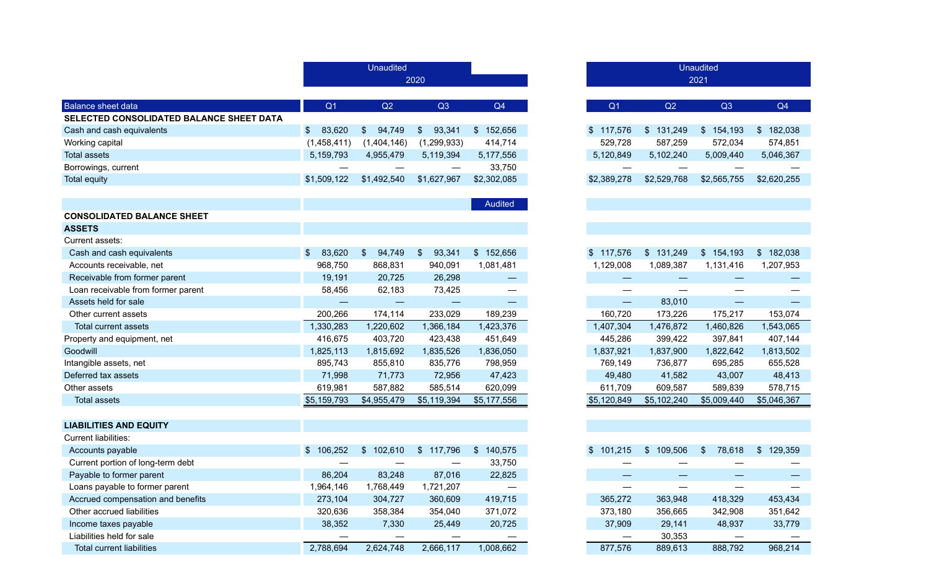|                                          |                         | <b>Unaudited</b>        |                          |                                 |
|------------------------------------------|-------------------------|-------------------------|--------------------------|---------------------------------|
|                                          |                         |                         | 2020                     |                                 |
|                                          |                         |                         |                          |                                 |
| <b>Balance sheet data</b>                | Q <sub>1</sub>          | Q2                      | Q3                       | Q4                              |
| SELECTED CONSOLIDATED BALANCE SHEET DATA |                         |                         |                          |                                 |
| Cash and cash equivalents                | $\mathcal{S}$<br>83,620 | 94,749<br>$\mathcal{L}$ | 93,341<br>\$             | \$152,656                       |
| Working capital                          | (1,458,411)             | (1,404,146)             | (1, 299, 933)            | 414,714                         |
| <b>Total assets</b>                      | 5,159,793               | 4,955,479               | 5,119,394                | 5,177,556                       |
| Borrowings, current                      | —                       |                         |                          | 33,750                          |
| <b>Total equity</b>                      | \$1,509,122             | \$1,492,540             | \$1,627,967              | \$2,302,085                     |
|                                          |                         |                         |                          |                                 |
|                                          |                         |                         |                          | Audited                         |
| <b>CONSOLIDATED BALANCE SHEET</b>        |                         |                         |                          |                                 |
| <b>ASSETS</b>                            |                         |                         |                          |                                 |
| Current assets:                          |                         |                         |                          |                                 |
| Cash and cash equivalents                | 83,620<br>-S            | 94,749<br>$\mathcal{S}$ | 93,341<br>$\frac{1}{2}$  | \$152,656                       |
| Accounts receivable, net                 | 968,750                 | 868,831                 | 940,091                  | 1,081,481                       |
| Receivable from former parent            | 19,191                  | 20,725                  | 26,298                   | $\hspace{0.1mm}-\hspace{0.1mm}$ |
| Loan receivable from former parent       | 58,456                  | 62,183                  | 73,425                   |                                 |
| Assets held for sale                     |                         |                         |                          | —                               |
| Other current assets                     | 200,266                 | 174,114                 | 233,029                  | 189,239                         |
| Total current assets                     | 1,330,283               | 1,220,602               | 1,366,184                | 1,423,376                       |
| Property and equipment, net              | 416,675                 | 403,720                 | 423,438                  | 451,649                         |
| Goodwill                                 | 1,825,113               | 1,815,692               | 1,835,526                | 1,836,050                       |
| Intangible assets, net                   | 895,743                 | 855,810                 | 835,776                  | 798,959                         |
| Deferred tax assets                      | 71,998                  | 71,773                  | 72,956                   | 47,423                          |
| Other assets                             | 619,981                 | 587,882                 | 585,514                  | 620,099                         |
| <b>Total assets</b>                      | \$5,159,793             | \$4,955,479             | \$5,119,394              | \$5,177,556                     |
|                                          |                         |                         |                          |                                 |
| <b>LIABILITIES AND EQUITY</b>            |                         |                         |                          |                                 |
| <b>Current liabilities:</b>              |                         |                         |                          |                                 |
| Accounts payable                         | \$106,252               | \$102,610               | $\frac{1}{2}$<br>117,796 | \$<br>140,575                   |
| Current portion of long-term debt        |                         |                         |                          | 33,750                          |
| Payable to former parent                 | 86,204                  | 83,248                  | 87,016                   | 22,825                          |
| Loans payable to former parent           | 1,964,146               | 1,768,449               | 1,721,207                |                                 |
| Accrued compensation and benefits        | 273,104                 | 304,727                 | 360,609                  | 419,715                         |
| Other accrued liabilities                | 320,636                 | 358,384                 | 354,040                  | 371,072                         |
| Income taxes payable                     | 38,352                  | 7,330                   | 25,449                   | 20,725                          |
| Liabilities held for sale                |                         |                         |                          |                                 |
| <b>Total current liabilities</b>         | 2,788,694               | 2,624,748               | 2,666,117                | 1,008,662                       |

|                |               | <b>Unaudited</b><br>2021 |               |
|----------------|---------------|--------------------------|---------------|
|                |               |                          | Q4            |
| Q <sub>1</sub> | Q2            | Q <sub>3</sub>           |               |
| \$<br>117,576  | \$<br>131,249 | \$154,193                | \$182,038     |
| 529,728        | 587,259       | 572,034                  | 574,851       |
| 5,120,849      | 5,102,240     | 5,009,440                | 5,046,367     |
|                |               |                          |               |
| \$2,389,278    | \$2,529,768   | \$2,565,755              | \$2,620,255   |
|                |               |                          |               |
|                |               |                          |               |
|                |               |                          |               |
|                |               |                          |               |
|                |               |                          |               |
| \$<br>117,576  | \$<br>131,249 | $\mathsf{\$}$<br>154,193 | \$<br>182,038 |
| 1,129,008      | 1,089,387     | 1,131,416                | 1,207,953     |
|                |               |                          |               |
|                |               |                          |               |
|                | 83,010        |                          |               |
| 160,720        | 173,226       | 175,217                  | 153,074       |
| 1,407,304      | 1,476,872     | 1,460,826                | 1,543,065     |
| 445,286        | 399,422       | 397,841                  | 407,144       |
| 1,837,921      | 1,837,900     | 1,822,642                | 1,813,502     |
| 769,149        | 736,877       | 695,285                  | 655,528       |
| 49,480         | 41,582        | 43,007                   | 48,413        |
| 611,709        | 609,587       | 589,839                  | 578,715       |
| \$5,120,849    | \$5,102,240   | \$5,009,440              | \$5,046,367   |
|                |               |                          |               |
|                |               |                          |               |
|                |               |                          |               |
| \$<br>101,215  | \$<br>109,506 | \$<br>78,618             | \$<br>129,359 |
|                |               |                          |               |
|                |               |                          |               |
|                |               |                          |               |
| 365,272        | 363,948       | 418,329                  | 453,434       |
| 373,180        | 356,665       | 342,908                  | 351,642       |
| 37,909         | 29,141        | 48,937                   | 33,779        |